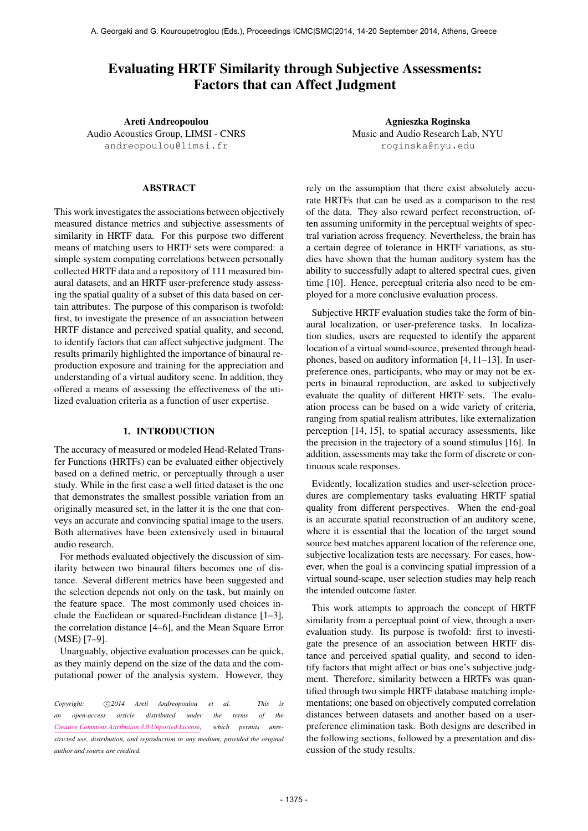# Evaluating HRTF Similarity through Subjective Assessments: Factors that can Affect Judgment

Areti Andreopoulou Audio Acoustics Group, LIMSI - CNRS [andreopoulou@limsi.fr](mailto:andreopoulou@limsi.fr)

## ABSTRACT

This work investigates the associations between objectively measured distance metrics and subjective assessments of similarity in HRTF data. For this purpose two different means of matching users to HRTF sets were compared: a simple system computing correlations between personally collected HRTF data and a repository of 111 measured binaural datasets, and an HRTF user-preference study assessing the spatial quality of a subset of this data based on certain attributes. The purpose of this comparison is twofold: first, to investigate the presence of an association between HRTF distance and perceived spatial quality, and second, to identify factors that can affect subjective judgment. The results primarily highlighted the importance of binaural reproduction exposure and training for the appreciation and understanding of a virtual auditory scene. In addition, they offered a means of assessing the effectiveness of the utilized evaluation criteria as a function of user expertise.

#### 1. INTRODUCTION

The accuracy of measured or modeled Head-Related Transfer Functions (HRTFs) can be evaluated either objectively based on a defined metric, or perceptually through a user study. While in the first case a well fitted dataset is the one that demonstrates the smallest possible variation from an originally measured set, in the latter it is the one that conveys an accurate and convincing spatial image to the users. Both alternatives have been extensively used in binaural audio research.

For methods evaluated objectively the discussion of similarity between two binaural filters becomes one of distance. Several different metrics have been suggested and the selection depends not only on the task, but mainly on the feature space. The most commonly used choices include the Euclidean or squared-Euclidean distance [1–3], the correlation distance [4–6], and the Mean Square Error (MSE) [7–9].

Unarguably, objective evaluation processes can be quick, as they mainly depend on the size of the data and the computational power of the analysis system. However, they

Copyright:  $\bigcirc$ 2014 Areti Andreopoulou et al. This is *an open-access article distributed under the terms of the [Creative Commons Attribution 3.0 Unported License,](http://creativecommons.org/licenses/by/3.0/) which permits unrestricted use, distribution, and reproduction in any medium, provided the original author and source are credited.*

Agnieszka Roginska Music and Audio Research Lab, NYU [roginska@nyu.edu](mailto:roginska@nyu.edu)

rely on the assumption that there exist absolutely accurate HRTFs that can be used as a comparison to the rest of the data. They also reward perfect reconstruction, often assuming uniformity in the perceptual weights of spectral variation across frequency. Nevertheless, the brain has a certain degree of tolerance in HRTF variations, as studies have shown that the human auditory system has the ability to successfully adapt to altered spectral cues, given time [10]. Hence, perceptual criteria also need to be employed for a more conclusive evaluation process.

Subjective HRTF evaluation studies take the form of binaural localization, or user-preference tasks. In localization studies, users are requested to identify the apparent location of a virtual sound-source, presented through headphones, based on auditory information [4, 11–13]. In userpreference ones, participants, who may or may not be experts in binaural reproduction, are asked to subjectively evaluate the quality of different HRTF sets. The evaluation process can be based on a wide variety of criteria, ranging from spatial realism attributes, like externalization perception [14, 15], to spatial accuracy assessments, like the precision in the trajectory of a sound stimulus [16]. In addition, assessments may take the form of discrete or continuous scale responses.

Evidently, localization studies and user-selection procedures are complementary tasks evaluating HRTF spatial quality from different perspectives. When the end-goal is an accurate spatial reconstruction of an auditory scene, where it is essential that the location of the target sound source best matches apparent location of the reference one, subjective localization tests are necessary. For cases, however, when the goal is a convincing spatial impression of a virtual sound-scape, user selection studies may help reach the intended outcome faster.

This work attempts to approach the concept of HRTF similarity from a perceptual point of view, through a userevaluation study. Its purpose is twofold: first to investigate the presence of an association between HRTF distance and perceived spatial quality, and second to identify factors that might affect or bias one's subjective judgment. Therefore, similarity between a HRTFs was quantified through two simple HRTF database matching implementations; one based on objectively computed correlation distances between datasets and another based on a userpreference elimination task. Both designs are described in the following sections, followed by a presentation and discussion of the study results.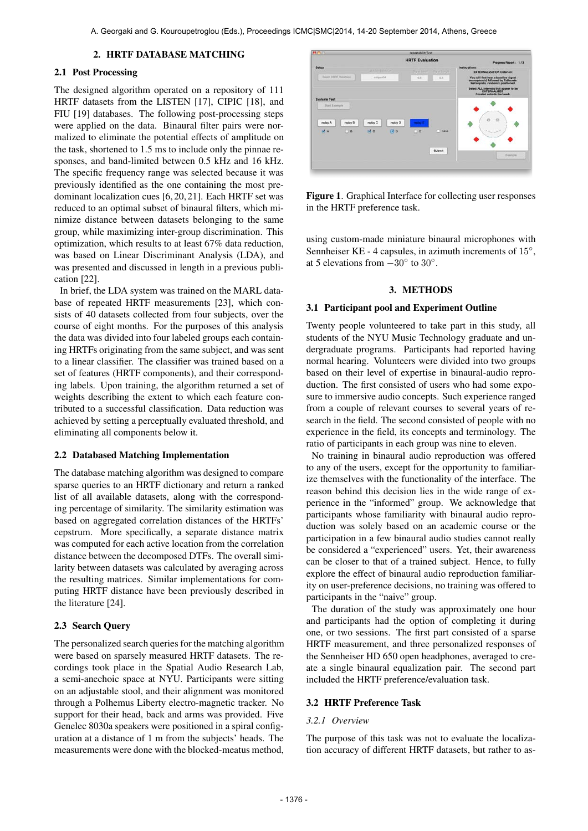#### 2. HRTF DATABASE MATCHING

## 2.1 Post Processing

The designed algorithm operated on a repository of 111 HRTF datasets from the LISTEN [17], CIPIC [18], and FIU [19] databases. The following post-processing steps were applied on the data. Binaural filter pairs were normalized to eliminate the potential effects of amplitude on the task, shortened to 1.5 ms to include only the pinnae responses, and band-limited between 0.5 kHz and 16 kHz. The specific frequency range was selected because it was previously identified as the one containing the most predominant localization cues [6, 20, 21]. Each HRTF set was reduced to an optimal subset of binaural filters, which minimize distance between datasets belonging to the same group, while maximizing inter-group discrimination. This optimization, which results to at least 67% data reduction, was based on Linear Discriminant Analysis (LDA), and was presented and discussed in length in a previous publication [22].

In brief, the LDA system was trained on the MARL database of repeated HRTF measurements [23], which consists of 40 datasets collected from four subjects, over the course of eight months. For the purposes of this analysis the data was divided into four labeled groups each containing HRTFs originating from the same subject, and was sent to a linear classifier. The classifier was trained based on a set of features (HRTF components), and their corresponding labels. Upon training, the algorithm returned a set of weights describing the extent to which each feature contributed to a successful classification. Data reduction was achieved by setting a perceptually evaluated threshold, and eliminating all components below it.

#### 2.2 Databased Matching Implementation

The database matching algorithm was designed to compare sparse queries to an HRTF dictionary and return a ranked list of all available datasets, along with the corresponding percentage of similarity. The similarity estimation was based on aggregated correlation distances of the HRTFs' cepstrum. More specifically, a separate distance matrix was computed for each active location from the correlation distance between the decomposed DTFs. The overall similarity between datasets was calculated by averaging across the resulting matrices. Similar implementations for computing HRTF distance have been previously described in the literature [24].

#### 2.3 Search Query

The personalized search queries for the matching algorithm were based on sparsely measured HRTF datasets. The recordings took place in the Spatial Audio Research Lab, a semi-anechoic space at NYU. Participants were sitting on an adjustable stool, and their alignment was monitored through a Polhemus Liberty electro-magnetic tracker. No support for their head, back and arms was provided. Five Genelec 8030a speakers were positioned in a spiral configuration at a distance of 1 m from the subjects' heads. The measurements were done with the blocked-meatus method,



Figure 1. Graphical Interface for collecting user responses in the HRTF preference task.

using custom-made miniature binaural microphones with Sennheiser KE - 4 capsules, in azimuth increments of 15°, at 5 elevations from  $-30^{\circ}$  to  $30^{\circ}$ .

#### 3. METHODS

#### 3.1 Participant pool and Experiment Outline

Twenty people volunteered to take part in this study, all students of the NYU Music Technology graduate and undergraduate programs. Participants had reported having normal hearing. Volunteers were divided into two groups based on their level of expertise in binaural-audio reproduction. The first consisted of users who had some exposure to immersive audio concepts. Such experience ranged from a couple of relevant courses to several years of research in the field. The second consisted of people with no experience in the field, its concepts and terminology. The ratio of participants in each group was nine to eleven.

No training in binaural audio reproduction was offered to any of the users, except for the opportunity to familiarize themselves with the functionality of the interface. The reason behind this decision lies in the wide range of experience in the "informed" group. We acknowledge that participants whose familiarity with binaural audio reproduction was solely based on an academic course or the participation in a few binaural audio studies cannot really be considered a "experienced" users. Yet, their awareness can be closer to that of a trained subject. Hence, to fully explore the effect of binaural audio reproduction familiarity on user-preference decisions, no training was offered to participants in the "naive" group.

The duration of the study was approximately one hour and participants had the option of completing it during one, or two sessions. The first part consisted of a sparse HRTF measurement, and three personalized responses of the Sennheiser HD 650 open headphones, averaged to create a single binaural equalization pair. The second part included the HRTF preference/evaluation task.

#### 3.2 HRTF Preference Task

#### *3.2.1 Overview*

The purpose of this task was not to evaluate the localization accuracy of different HRTF datasets, but rather to as-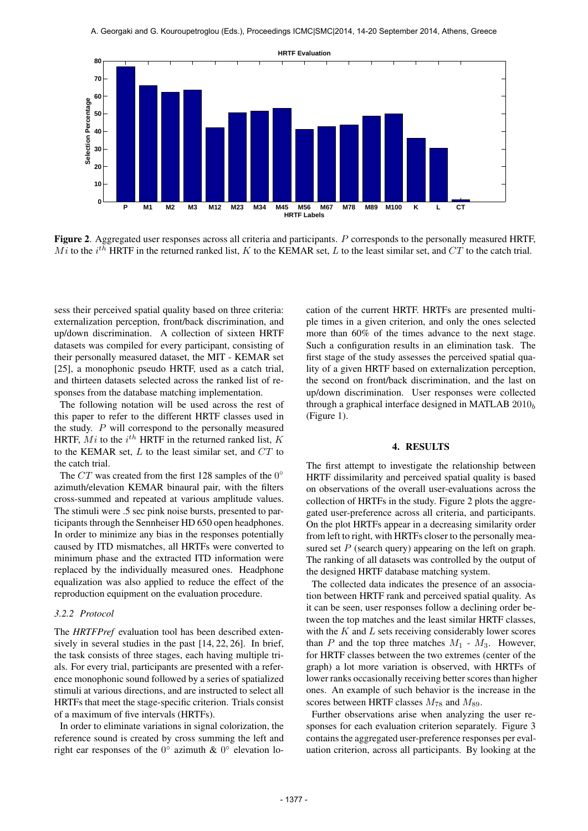

Figure 2. Aggregated user responses across all criteria and participants. P corresponds to the personally measured HRTF, Mi to the i<sup>th</sup> HRTF in the returned ranked list, K to the KEMAR set, L to the least similar set, and CT to the catch trial.

sess their perceived spatial quality based on three criteria: externalization perception, front/back discrimination, and up/down discrimination. A collection of sixteen HRTF datasets was compiled for every participant, consisting of their personally measured dataset, the MIT - KEMAR set [25], a monophonic pseudo HRTF, used as a catch trial, and thirteen datasets selected across the ranked list of responses from the database matching implementation.

The following notation will be used across the rest of this paper to refer to the different HRTF classes used in the study. P will correspond to the personally measured HRTF,  $Mi$  to the  $i^{th}$  HRTF in the returned ranked list,  $K$ to the KEMAR set,  $L$  to the least similar set, and  $CT$  to the catch trial.

The  $CT$  was created from the first 128 samples of the  $0^{\circ}$ azimuth/elevation KEMAR binaural pair, with the filters cross-summed and repeated at various amplitude values. The stimuli were .5 sec pink noise bursts, presented to participants through the Sennheiser HD 650 open headphones. In order to minimize any bias in the responses potentially caused by ITD mismatches, all HRTFs were converted to minimum phase and the extracted ITD information were replaced by the individually measured ones. Headphone equalization was also applied to reduce the effect of the reproduction equipment on the evaluation procedure.

#### *3.2.2 Protocol*

The *HRTFPref* evaluation tool has been described extensively in several studies in the past [14, 22, 26]. In brief, the task consists of three stages, each having multiple trials. For every trial, participants are presented with a reference monophonic sound followed by a series of spatialized stimuli at various directions, and are instructed to select all HRTFs that meet the stage-specific criterion. Trials consist of a maximum of five intervals (HRTFs).

In order to eliminate variations in signal colorization, the reference sound is created by cross summing the left and right ear responses of the  $0^{\circ}$  azimuth &  $0^{\circ}$  elevation location of the current HRTF. HRTFs are presented multiple times in a given criterion, and only the ones selected more than 60% of the times advance to the next stage. Such a configuration results in an elimination task. The first stage of the study assesses the perceived spatial quality of a given HRTF based on externalization perception, the second on front/back discrimination, and the last on up/down discrimination. User responses were collected through a graphical interface designed in MATLAB  $2010<sub>b</sub>$ (Figure 1).

#### 4. RESULTS

The first attempt to investigate the relationship between HRTF dissimilarity and perceived spatial quality is based on observations of the overall user-evaluations across the collection of HRTFs in the study. Figure 2 plots the aggregated user-preference across all criteria, and participants. On the plot HRTFs appear in a decreasing similarity order from left to right, with HRTFs closer to the personally measured set  $P$  (search query) appearing on the left on graph. The ranking of all datasets was controlled by the output of the designed HRTF database matching system.

The collected data indicates the presence of an association between HRTF rank and perceived spatial quality. As it can be seen, user responses follow a declining order between the top matches and the least similar HRTF classes, with the  $K$  and  $L$  sets receiving considerably lower scores than  $P$  and the top three matches  $M_1$  -  $M_3$ . However, for HRTF classes between the two extremes (center of the graph) a lot more variation is observed, with HRTFs of lower ranks occasionally receiving better scores than higher ones. An example of such behavior is the increase in the scores between HRTF classes  $M_{78}$  and  $M_{89}$ .

Further observations arise when analyzing the user responses for each evaluation criterion separately. Figure 3 contains the aggregated user-preference responses per evaluation criterion, across all participants. By looking at the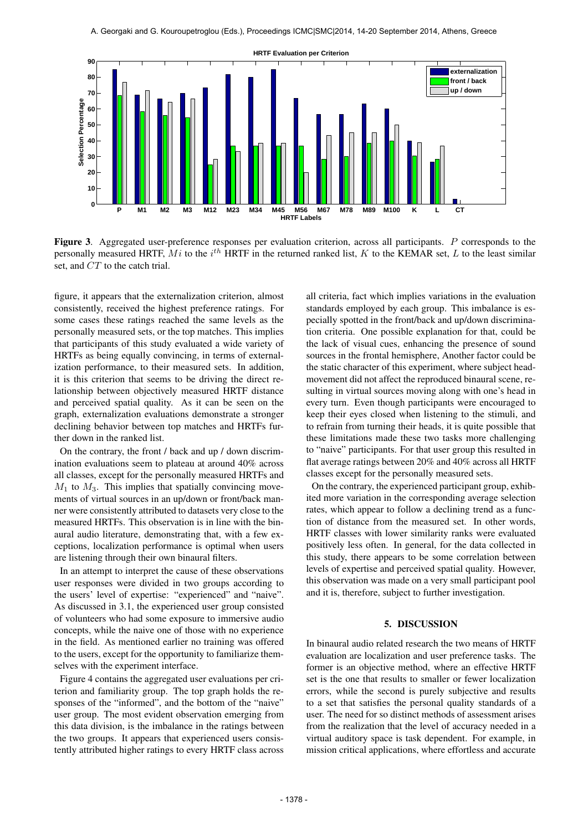

Figure 3. Aggregated user-preference responses per evaluation criterion, across all participants. P corresponds to the personally measured HRTF,  $Mi$  to the  $i^{th}$  HRTF in the returned ranked list, K to the KEMAR set, L to the least similar set, and CT to the catch trial.

figure, it appears that the externalization criterion, almost consistently, received the highest preference ratings. For some cases these ratings reached the same levels as the personally measured sets, or the top matches. This implies that participants of this study evaluated a wide variety of HRTFs as being equally convincing, in terms of externalization performance, to their measured sets. In addition, it is this criterion that seems to be driving the direct relationship between objectively measured HRTF distance and perceived spatial quality. As it can be seen on the graph, externalization evaluations demonstrate a stronger declining behavior between top matches and HRTFs further down in the ranked list.

On the contrary, the front / back and up / down discrimination evaluations seem to plateau at around 40% across all classes, except for the personally measured HRTFs and  $M_1$  to  $M_3$ . This implies that spatially convincing movements of virtual sources in an up/down or front/back manner were consistently attributed to datasets very close to the measured HRTFs. This observation is in line with the binaural audio literature, demonstrating that, with a few exceptions, localization performance is optimal when users are listening through their own binaural filters.

In an attempt to interpret the cause of these observations user responses were divided in two groups according to the users' level of expertise: "experienced" and "naive". As discussed in 3.1, the experienced user group consisted of volunteers who had some exposure to immersive audio concepts, while the naive one of those with no experience in the field. As mentioned earlier no training was offered to the users, except for the opportunity to familiarize themselves with the experiment interface.

Figure 4 contains the aggregated user evaluations per criterion and familiarity group. The top graph holds the responses of the "informed", and the bottom of the "naive" user group. The most evident observation emerging from this data division, is the imbalance in the ratings between the two groups. It appears that experienced users consistently attributed higher ratings to every HRTF class across all criteria, fact which implies variations in the evaluation standards employed by each group. This imbalance is especially spotted in the front/back and up/down discrimination criteria. One possible explanation for that, could be the lack of visual cues, enhancing the presence of sound sources in the frontal hemisphere, Another factor could be the static character of this experiment, where subject headmovement did not affect the reproduced binaural scene, resulting in virtual sources moving along with one's head in every turn. Even though participants were encouraged to keep their eyes closed when listening to the stimuli, and to refrain from turning their heads, it is quite possible that these limitations made these two tasks more challenging to "naive" participants. For that user group this resulted in flat average ratings between 20% and 40% across all HRTF classes except for the personally measured sets.

On the contrary, the experienced participant group, exhibited more variation in the corresponding average selection rates, which appear to follow a declining trend as a function of distance from the measured set. In other words, HRTF classes with lower similarity ranks were evaluated positively less often. In general, for the data collected in this study, there appears to be some correlation between levels of expertise and perceived spatial quality. However, this observation was made on a very small participant pool and it is, therefore, subject to further investigation.

## 5. DISCUSSION

In binaural audio related research the two means of HRTF evaluation are localization and user preference tasks. The former is an objective method, where an effective HRTF set is the one that results to smaller or fewer localization errors, while the second is purely subjective and results to a set that satisfies the personal quality standards of a user. The need for so distinct methods of assessment arises from the realization that the level of accuracy needed in a virtual auditory space is task dependent. For example, in mission critical applications, where effortless and accurate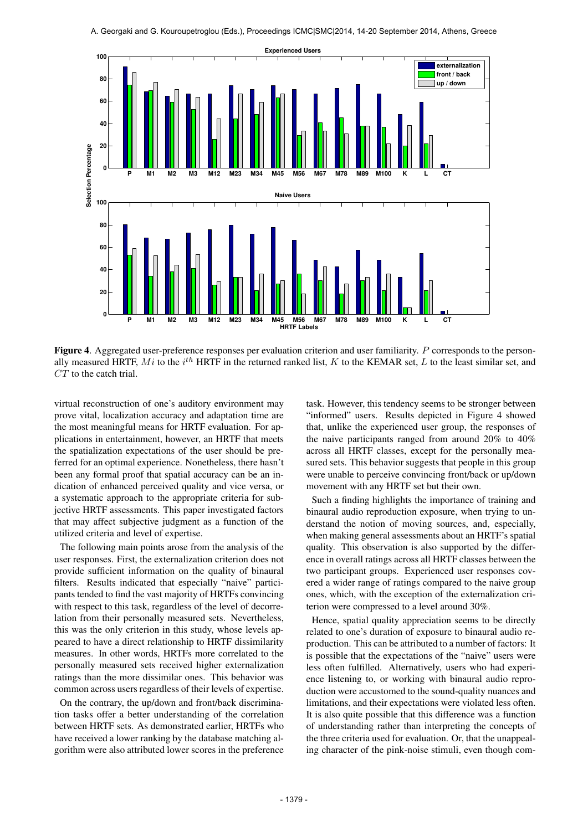

Figure 4. Aggregated user-preference responses per evaluation criterion and user familiarity. P corresponds to the personally measured HRTF,  $Mi$  to the  $i^{th}$  HRTF in the returned ranked list, K to the KEMAR set, L to the least similar set, and  $CT$  to the catch trial.

virtual reconstruction of one's auditory environment may prove vital, localization accuracy and adaptation time are the most meaningful means for HRTF evaluation. For applications in entertainment, however, an HRTF that meets the spatialization expectations of the user should be preferred for an optimal experience. Nonetheless, there hasn't been any formal proof that spatial accuracy can be an indication of enhanced perceived quality and vice versa, or a systematic approach to the appropriate criteria for subjective HRTF assessments. This paper investigated factors that may affect subjective judgment as a function of the utilized criteria and level of expertise.

The following main points arose from the analysis of the user responses. First, the externalization criterion does not provide sufficient information on the quality of binaural filters. Results indicated that especially "naive" participants tended to find the vast majority of HRTFs convincing with respect to this task, regardless of the level of decorrelation from their personally measured sets. Nevertheless, this was the only criterion in this study, whose levels appeared to have a direct relationship to HRTF dissimilarity measures. In other words, HRTFs more correlated to the personally measured sets received higher externalization ratings than the more dissimilar ones. This behavior was common across users regardless of their levels of expertise.

On the contrary, the up/down and front/back discrimination tasks offer a better understanding of the correlation between HRTF sets. As demonstrated earlier, HRTFs who have received a lower ranking by the database matching algorithm were also attributed lower scores in the preference task. However, this tendency seems to be stronger between "informed" users. Results depicted in Figure 4 showed that, unlike the experienced user group, the responses of the naive participants ranged from around 20% to 40% across all HRTF classes, except for the personally measured sets. This behavior suggests that people in this group were unable to perceive convincing front/back or up/down movement with any HRTF set but their own.

Such a finding highlights the importance of training and binaural audio reproduction exposure, when trying to understand the notion of moving sources, and, especially, when making general assessments about an HRTF's spatial quality. This observation is also supported by the difference in overall ratings across all HRTF classes between the two participant groups. Experienced user responses covered a wider range of ratings compared to the naive group ones, which, with the exception of the externalization criterion were compressed to a level around 30%.

Hence, spatial quality appreciation seems to be directly related to one's duration of exposure to binaural audio reproduction. This can be attributed to a number of factors: It is possible that the expectations of the "naive" users were less often fulfilled. Alternatively, users who had experience listening to, or working with binaural audio reproduction were accustomed to the sound-quality nuances and limitations, and their expectations were violated less often. It is also quite possible that this difference was a function of understanding rather than interpreting the concepts of the three criteria used for evaluation. Or, that the unappealing character of the pink-noise stimuli, even though com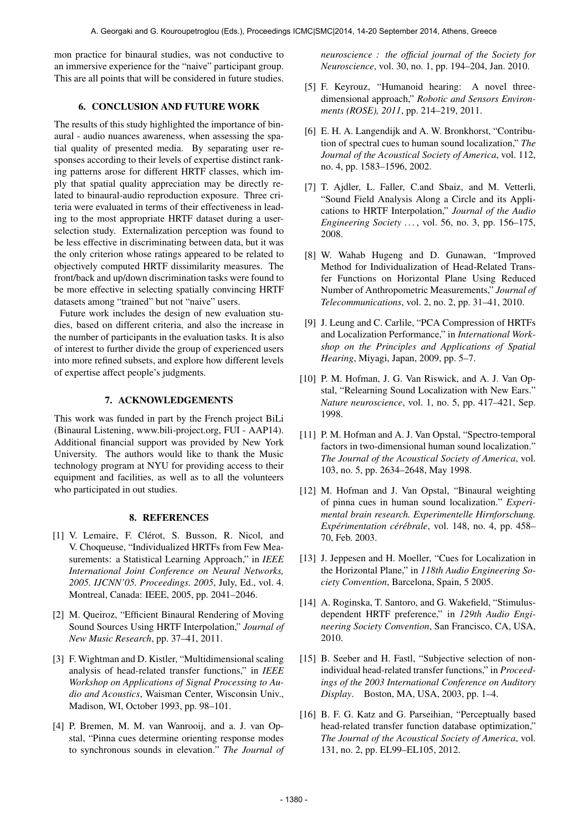mon practice for binaural studies, was not conductive to an immersive experience for the "naive" participant group. This are all points that will be considered in future studies.

## 6. CONCLUSION AND FUTURE WORK

The results of this study highlighted the importance of binaural - audio nuances awareness, when assessing the spatial quality of presented media. By separating user responses according to their levels of expertise distinct ranking patterns arose for different HRTF classes, which imply that spatial quality appreciation may be directly related to binaural-audio reproduction exposure. Three criteria were evaluated in terms of their effectiveness in leading to the most appropriate HRTF dataset during a userselection study. Externalization perception was found to be less effective in discriminating between data, but it was the only criterion whose ratings appeared to be related to objectively computed HRTF dissimilarity measures. The front/back and up/down discrimination tasks were found to be more effective in selecting spatially convincing HRTF datasets among "trained" but not "naive" users.

Future work includes the design of new evaluation studies, based on different criteria, and also the increase in the number of participants in the evaluation tasks. It is also of interest to further divide the group of experienced users into more refined subsets, and explore how different levels of expertise affect people's judgments.

## 7. ACKNOWLEDGEMENTS

This work was funded in part by the French project BiLi (Binaural Listening, www.bili-project.org, FUI - AAP14). Additional financial support was provided by New York University. The authors would like to thank the Music technology program at NYU for providing access to their equipment and facilities, as well as to all the volunteers who participated in out studies.

#### 8. REFERENCES

- [1] V. Lemaire, F. Clérot, S. Busson, R. Nicol, and V. Choqueuse, "Individualized HRTFs from Few Measurements: a Statistical Learning Approach," in *IEEE International Joint Conference on Neural Networks, 2005. IJCNN'05. Proceedings. 2005*, July, Ed., vol. 4. Montreal, Canada: IEEE, 2005, pp. 2041–2046.
- [2] M. Queiroz, "Efficient Binaural Rendering of Moving Sound Sources Using HRTF Interpolation," *Journal of New Music Research*, pp. 37–41, 2011.
- [3] F. Wightman and D. Kistler, "Multidimensional scaling analysis of head-related transfer functions," in *IEEE Workshop on Applications of Signal Processing to Audio and Acoustics*, Waisman Center, Wisconsin Univ., Madison, WI, October 1993, pp. 98–101.
- [4] P. Bremen, M. M. van Wanrooij, and a. J. van Opstal, "Pinna cues determine orienting response modes to synchronous sounds in elevation." *The Journal of*

*neuroscience : the official journal of the Society for Neuroscience*, vol. 30, no. 1, pp. 194–204, Jan. 2010.

- [5] F. Keyrouz, "Humanoid hearing: A novel threedimensional approach," *Robotic and Sensors Environments (ROSE), 2011*, pp. 214–219, 2011.
- [6] E. H. A. Langendijk and A. W. Bronkhorst, "Contribution of spectral cues to human sound localization," *The Journal of the Acoustical Society of America*, vol. 112, no. 4, pp. 1583–1596, 2002.
- [7] T. Ajdler, L. Faller, C.and Sbaiz, and M. Vetterli, "Sound Field Analysis Along a Circle and its Applications to HRTF Interpolation," *Journal of the Audio Engineering Society . . .* , vol. 56, no. 3, pp. 156–175, 2008.
- [8] W. Wahab Hugeng and D. Gunawan, "Improved Method for Individualization of Head-Related Transfer Functions on Horizontal Plane Using Reduced Number of Anthropometric Measurements," *Journal of Telecommunications*, vol. 2, no. 2, pp. 31–41, 2010.
- [9] J. Leung and C. Carlile, "PCA Compression of HRTFs and Localization Performance," in *International Workshop on the Principles and Applications of Spatial Hearing*, Miyagi, Japan, 2009, pp. 5–7.
- [10] P. M. Hofman, J. G. Van Riswick, and A. J. Van Opstal, "Relearning Sound Localization with New Ears." *Nature neuroscience*, vol. 1, no. 5, pp. 417–421, Sep. 1998.
- [11] P. M. Hofman and A. J. Van Opstal, "Spectro-temporal factors in two-dimensional human sound localization." *The Journal of the Acoustical Society of America*, vol. 103, no. 5, pp. 2634–2648, May 1998.
- [12] M. Hofman and J. Van Opstal, "Binaural weighting of pinna cues in human sound localization." *Experimental brain research. Experimentelle Hirnforschung. Expérimentation cérébrale, vol. 148, no. 4, pp. 458–* 70, Feb. 2003.
- [13] J. Jeppesen and H. Moeller, "Cues for Localization in the Horizontal Plane," in *118th Audio Engineering Society Convention*, Barcelona, Spain, 5 2005.
- [14] A. Roginska, T. Santoro, and G. Wakefield, "Stimulusdependent HRTF preference," in *129th Audio Engineering Society Convention*, San Francisco, CA, USA, 2010.
- [15] B. Seeber and H. Fastl, "Subjective selection of nonindividual head-related transfer functions," in *Proceedings of the 2003 International Conference on Auditory Display*. Boston, MA, USA, 2003, pp. 1–4.
- [16] B. F. G. Katz and G. Parseihian, "Perceptually based head-related transfer function database optimization," *The Journal of the Acoustical Society of America*, vol. 131, no. 2, pp. EL99–EL105, 2012.